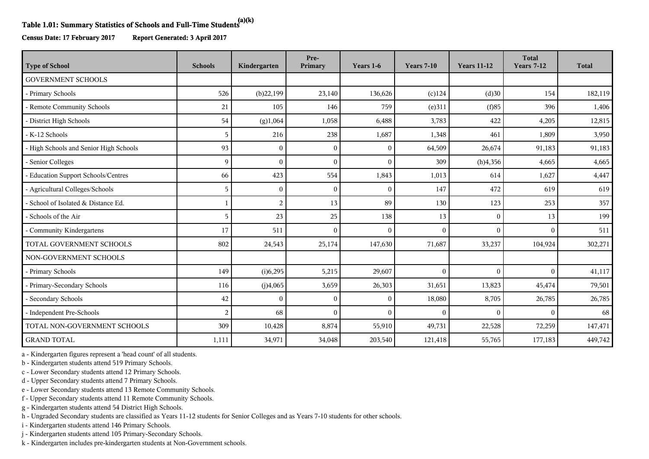## **Table 1.01: Summary Statistics of Schools and Full-Time Students(a)(k)**

**Census Date: 17 February 2017 Report Generated: 3 April 2017**

| <b>Type of School</b>                  | <b>Schools</b> | Kindergarten   | Pre-<br>Primary | Years 1-6 | <b>Years 7-10</b> | <b>Years 11-12</b> | <b>Total</b><br><b>Years 7-12</b> | <b>Total</b> |
|----------------------------------------|----------------|----------------|-----------------|-----------|-------------------|--------------------|-----------------------------------|--------------|
| <b>GOVERNMENT SCHOOLS</b>              |                |                |                 |           |                   |                    |                                   |              |
| - Primary Schools                      | 526            | (b)22,199      | 23,140          | 136,626   | $(c)$ 124         | (d)30              | 154                               | 182,119      |
| - Remote Community Schools             | 21             | 105            | 146             | 759       | (e)311            | (f)85              | 396                               | 1,406        |
| - District High Schools                | 54             | (g)1,064       | 1,058           | 6,488     | 3,783             | 422                | 4,205                             | 12,815       |
| - K-12 Schools                         | 5              | 216            | 238             | 1,687     | 1,348             | 461                | 1,809                             | 3,950        |
| - High Schools and Senior High Schools | 93             | $\Omega$       | $\Omega$        | $\theta$  | 64,509            | 26,674             | 91,183                            | 91,183       |
| - Senior Colleges                      | 9              | $\Omega$       | $\Omega$        | $\Omega$  | 309               | (h)4,356           | 4,665                             | 4,665        |
| - Education Support Schools/Centres    | 66             | 423            | 554             | 1,843     | 1,013             | 614                | 1,627                             | 4,447        |
| - Agricultural Colleges/Schools        | 5              | $\Omega$       | $\Omega$        | $\theta$  | 147               | 472                | 619                               | 619          |
| - School of Isolated & Distance Ed.    | $\mathbf{1}$   | $\overline{2}$ | 13              | 89        | 130               | 123                | 253                               | 357          |
| - Schools of the Air                   | 5              | 23             | 25              | 138       | 13                | $\mathbf{0}$       | 13                                | 199          |
| - Community Kindergartens              | 17             | 511            | $\Omega$        | $\Omega$  | $\Omega$          | $\theta$           | $\Omega$                          | 511          |
| TOTAL GOVERNMENT SCHOOLS               | 802            | 24,543         | 25,174          | 147,630   | 71,687            | 33,237             | 104,924                           | 302,271      |
| NON-GOVERNMENT SCHOOLS                 |                |                |                 |           |                   |                    |                                   |              |
| - Primary Schools                      | 149            | (i)6,295       | 5,215           | 29,607    | $\mathbf{0}$      | $\mathbf{0}$       | $\Omega$                          | 41,117       |
| - Primary-Secondary Schools            | 116            | (j)4,065       | 3,659           | 26,303    | 31,651            | 13,823             | 45,474                            | 79,501       |
| - Secondary Schools                    | 42             | ∩              | $\Omega$        | $\theta$  | 18,080            | 8,705              | 26,785                            | 26,785       |
| - Independent Pre-Schools              | $\overline{2}$ | 68             | $\theta$        | $\Omega$  | $\mathbf{0}$      | $\theta$           | $\Omega$                          | 68           |
| TOTAL NON-GOVERNMENT SCHOOLS           | 309            | 10,428         | 8,874           | 55,910    | 49,731            | 22,528             | 72,259                            | 147,471      |
| <b>GRAND TOTAL</b>                     | 1,111          | 34,971         | 34,048          | 203,540   | 121,418           | 55,765             | 177,183                           | 449,742      |

a - Kindergarten figures represent a 'head count' of all students.

b - Kindergarten students attend 519 Primary Schools.

c - Lower Secondary students attend 12 Primary Schools.

d - Upper Secondary students attend 7 Primary Schools.

e - Lower Secondary students attend 13 Remote Community Schools.

f - Upper Secondary students attend 11 Remote Community Schools.

g - Kindergarten students attend 54 District High Schools.

h - Ungraded Secondary students are classified as Years 11-12 students for Senior Colleges and as Years 7-10 students for other schools.

i - Kindergarten students attend 146 Primary Schools.

j - Kindergarten students attend 105 Primary-Secondary Schools.

k - Kindergarten includes pre-kindergarten students at Non-Government schools.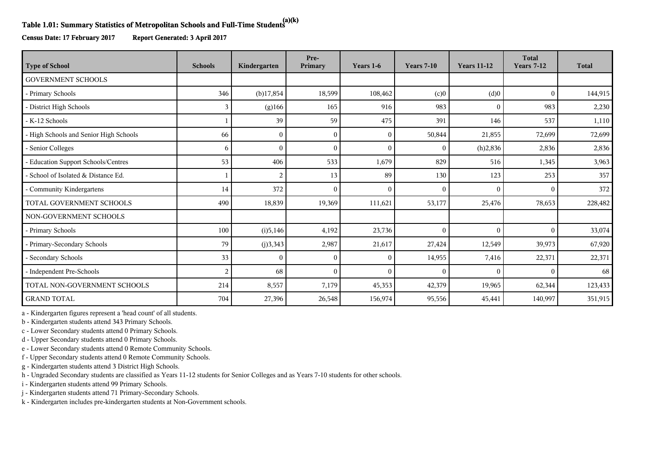## **Table 1.01: Summary Statistics of Metropolitan Schools and Full-Time Students(a)(k)**

**Census Date: 17 February 2017 Report Generated: 3 April 2017**

| <b>Type of School</b>                  | <b>Schools</b> | Kindergarten | Pre-<br>Primary | Years 1-6    | <b>Years 7-10</b> | <b>Years 11-12</b> | <b>Total</b><br><b>Years 7-12</b> | <b>Total</b> |
|----------------------------------------|----------------|--------------|-----------------|--------------|-------------------|--------------------|-----------------------------------|--------------|
| <b>GOVERNMENT SCHOOLS</b>              |                |              |                 |              |                   |                    |                                   |              |
| - Primary Schools                      | 346            | $(b)$ 17,854 | 18,599          | 108,462      | (c)0              | (d)0               | $\mathbf{0}$                      | 144,915      |
| - District High Schools                | 3              | (g)166       | 165             | 916          | 983               | $\mathbf{0}$       | 983                               | 2,230        |
| - K-12 Schools                         |                | 39           | 59              | 475          | 391               | 146                | 537                               | 1,110        |
| - High Schools and Senior High Schools | 66             | $\mathbf{0}$ | $\theta$        | $\mathbf{0}$ | 50,844            | 21,855             | 72,699                            | 72,699       |
| - Senior Colleges                      | 6              | $\theta$     | $\theta$        | $\mathbf{0}$ | $\mathbf{0}$      | (h)2,836           | 2,836                             | 2,836        |
| - Education Support Schools/Centres    | 53             | 406          | 533             | 1,679        | 829               | 516                | 1,345                             | 3,963        |
| - School of Isolated & Distance Ed.    |                | 2            | 13              | 89           | 130               | 123                | 253                               | 357          |
| - Community Kindergartens              | 14             | 372          | $\theta$        | $\mathbf{0}$ | $\Omega$          | $\mathbf{0}$       | $\Omega$                          | 372          |
| TOTAL GOVERNMENT SCHOOLS               | 490            | 18,839       | 19,369          | 111,621      | 53,177            | 25,476             | 78,653                            | 228,482      |
| NON-GOVERNMENT SCHOOLS                 |                |              |                 |              |                   |                    |                                   |              |
| - Primary Schools                      | 100            | (i)5,146     | 4,192           | 23,736       | $\Omega$          | $\mathbf{0}$       | $\theta$                          | 33,074       |
| - Primary-Secondary Schools            | 79             | (j)3,343     | 2,987           | 21,617       | 27,424            | 12,549             | 39,973                            | 67,920       |
| - Secondary Schools                    | 33             | $\Omega$     | $\Omega$        | $\theta$     | 14,955            | 7,416              | 22,371                            | 22,371       |
| - Independent Pre-Schools              | 2              | 68           | $\theta$        | $\theta$     | $\Omega$          | $\theta$           | $\Omega$                          | 68           |
| TOTAL NON-GOVERNMENT SCHOOLS           | 214            | 8,557        | 7,179           | 45,353       | 42,379            | 19,965             | 62,344                            | 123,433      |
| <b>GRAND TOTAL</b>                     | 704            | 27,396       | 26,548          | 156,974      | 95,556            | 45,441             | 140,997                           | 351,915      |

a - Kindergarten figures represent a 'head count' of all students.

b - Kindergarten students attend 343 Primary Schools.

c - Lower Secondary students attend 0 Primary Schools.

d - Upper Secondary students attend 0 Primary Schools.

e - Lower Secondary students attend 0 Remote Community Schools.

f - Upper Secondary students attend 0 Remote Community Schools.

g - Kindergarten students attend 3 District High Schools.

h - Ungraded Secondary students are classified as Years 11-12 students for Senior Colleges and as Years 7-10 students for other schools.

i - Kindergarten students attend 99 Primary Schools.

j - Kindergarten students attend 71 Primary-Secondary Schools.

k - Kindergarten includes pre-kindergarten students at Non-Government schools.